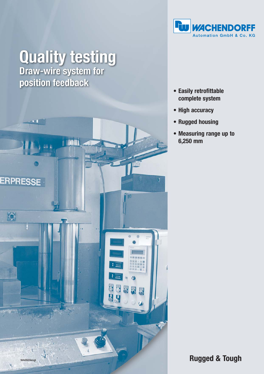

# **Quality testing**<br>Draw-wire system for position feedback



- **Easily retrofittable complete system**
- **High accuracy**
- **Rugged housing**
- **Measuring range up to 6,250 mm**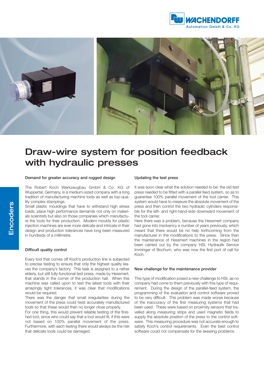



# Draw-wire system for position feedback with hydraulic presses

# Demand for greater accuracy and rugged design

The Robert Koch Werkzeugbau GmbH & Co. KG of Wuppertal, Germany, is a medium-sized company with a long tradition of manufacturing machine tools as well as top-quality complex stampings.

Small plastic mouldings that have to withstand high stress loads, place high performance demands not only on materials scientists but also on those companies which manufacture the tools for their production. Modern moulds for plastic injection machines are ever more delicate and intricate in their design and production tolerances have long been measured in hundreds of a millimetre.

# Difficult quality control

Every tool that comes off Koch's production line is subjected to precise testing to ensure that only the highest quality leaves the company's factory. This task is assigned to a rather elderly, but still fully-functional test press, made by Hessmert, that stands in the corner of the production hall. When this machine was called upon to test the latest tools with their amazingly tight tolerances, it was clear that modifications would be required.

There was the danger that small irregularities during the movement of the press could twist accurately manufactured tools so that these would then no longer close properly.

For one thing, this would prevent reliable testing of the finished tool, since who could say that a tool would fit, if this were not based on 100% parallel movement of the press. Furthermore, with each testing there would always be the risk that delicate tools could be damaged.

## Updating the test press

It was soon clear what the solution needed to be: the old test press needed to be fitted with a parallel feed system, so as to guarantee 100% parallel movement of the tool carrier. This system would have to measure the absolute movement of the press and then control the two hydraulic cylinders responsible for the left- and right-hand-side downward movement of the tool carrier.

Here there was a problem, because the Hessmert company had gone into insolvency a number of years previously, which meant that there would be no help forthcoming from the manufacturer in the modifications to the press. Since then the maintenance of Hessmert machines in the region had been carried out by the company HSI, Hydraulik Service Imminger of Bochum, who was now the first port of call for Koch.

#### New challenge for the maintenance provider

This type of modification posed a new challenge to HSI, as no company had come to them previously with this type of requirement. During the design of the parallel-feed system, the programming of the evaluation and control software proved to be very difficult. This problem was made worse because of the inaccuracy of the first measuring systems that had been used. These were based on proximity sensors that travelled along measuring strips and used magnetic fields to supply the absolute position of the press to the control software. This measuring procedure was not accurate enough to satisfy Koch's control requirements. Even the best control software could not compensate for the skewing problems.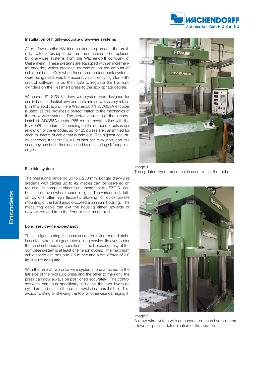

#### Installation of highly-accurate draw-wire systems

After a few months HSI tried a different approach: the proximity switches disappeared from the machine to be replaced by draw-wire systems from the Wachendorff company of Geisenheim. These systems are equipped with an incremental encoder, which provides information on the amount of cable paid out. Only when these position feedback systems were being used, was the accuracy sufficiently high for HSI's control software to be then able to regulate the hydraulic cylinders on the Hessmert press to the appropriate degree.

Wachendorff's SZG 81 draw-wire system was designed for use in harsh industrial environments and so works very reliably in this application. Here Wachendorff's WDG58A encoder is used, as this provides a perfect match to the mechanics of the draw-wire system. The protection rating of the alreadyinstalled WDG58A meets IP65 requirements in line with the EN 60529 standard. Depending on the number of pulses per revolution of the encoder, up to 125 pulses are transmitted for each millimetre of cable that is paid out. The highest accuracy encoders transmit 25,000 pulses per revolution, and this accuracy can be further increased by measuring all four pulse edges.

## Flexible system

The measuring range go up to 6,250 mm. Longer draw-wire systems with cables up to 42 metres can be delivered on request. Its compact dimensions mean that the SZG 81 can be installed even where space is tight. The various installation options offer high flexibility, allowing for quick on-site mounting of the hard anodic-coated aluminium housing. The measuring cable can exit the housing either upwards or downwards and from the front or rear, as desired.

# Long service-life expectancy

The intelligent spring suspension and the nylon-coated stainless-steel wire cable guarantee a long service-life even under the harshest operating conditions. The life expectancy of the complete system is at least one million cycles. The maximum cable speed can be up to 7.5 m/sec and a draw force of 2.0 kg is quite adequate.

With the help of two draw-wire systems, one attached to the left side of the hydraulic press and the other to the right, the press can now always be positioned accurately. The control software can thus specifically influence the two hydraulic cylinders and ensure the press travels in a parallel line. This avoids twisting or skewing the tool or otherwise damaging it.



# Image 1 The updated tryout press that is used to test the tools





A draw-wire system with an encoder on each hydraulic ram allows for precise determination of the position